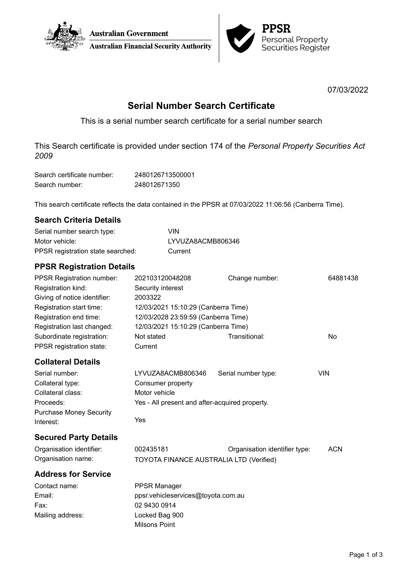



07/03/2022

# **Serial Number Search Certificate**

This is a serial number search certificate for a serial number search

This Search certificate is provided under section 174 of the *Personal Property Securities Act 2009*

| Search certificate number: | 2480126713500001 |
|----------------------------|------------------|
| Search number:             | 248012671350     |

This search certificate reflects the data contained in the PPSR at 07/03/2022 11:06:56 (Canberra Time).

## **Search Criteria Details**

| Serial number search type:        | VIN               |
|-----------------------------------|-------------------|
| Motor vehicle:                    | LYVUZA8ACMB806346 |
| PPSR registration state searched: | Current           |

## **PPSR Registration Details**

| <b>PPSR Registration number:</b> | 202103120048208                     | Change number: | 64881438 |
|----------------------------------|-------------------------------------|----------------|----------|
| Registration kind:               | Security interest                   |                |          |
| Giving of notice identifier:     | 2003322                             |                |          |
| Registration start time:         | 12/03/2021 15:10:29 (Canberra Time) |                |          |
| Registration end time:           | 12/03/2028 23:59:59 (Canberra Time) |                |          |
| Registration last changed:       | 12/03/2021 15:10:29 (Canberra Time) |                |          |
| Subordinate registration:        | Not stated                          | Transitional:  | No       |
| PPSR registration state:         | Current                             |                |          |
| <b>Collateral Details</b>        |                                     |                |          |

| Serial number:                 | LYVUZA8ACMB806346                              | Serial number type: | VIN |
|--------------------------------|------------------------------------------------|---------------------|-----|
| Collateral type:               | Consumer property                              |                     |     |
| Collateral class:              | Motor vehicle                                  |                     |     |
| Proceeds:                      | Yes - All present and after-acquired property. |                     |     |
| <b>Purchase Money Security</b> |                                                |                     |     |
| Interest:                      | Yes                                            |                     |     |

### **Secured Party Details**

| Organisation identifier: | 002435181                               | Organisation identifier type: | ACN |
|--------------------------|-----------------------------------------|-------------------------------|-----|
| Organisation name:       | TOYOTA FINANCE AUSTRALIA LTD (Verified) |                               |     |

### **Address for Service**

Contact name: PPSR Manager Email: ppsr.vehicleservices@toyota.com.au Fax: 02 9430 0914 Mailing address: Locked Bag 900 Milsons Point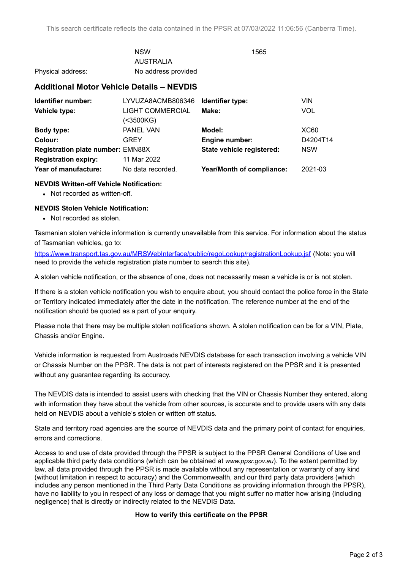|                   | <b>NSW</b>          | 1565 |
|-------------------|---------------------|------|
|                   | AUSTRALIA           |      |
| Physical address: | No address provided |      |

#### **Additional Motor Vehicle Details – NEVDIS**

| Identifier number:<br>Vehicle type:                 | LYVUZA8ACMB806346<br><b>LIGHT COMMERCIAL</b> | Identifier type:<br>Make: | <b>VIN</b><br><b>VOL</b> |
|-----------------------------------------------------|----------------------------------------------|---------------------------|--------------------------|
| Body type:<br>Colour:                               | (<3500KG)<br><b>PANEL VAN</b><br>GREY        | Model:<br>Engine number:  | XC60<br>D4204T14         |
| <b>Registration plate number: EMN88X</b>            |                                              | State vehicle registered: | <b>NSW</b>               |
| <b>Registration expiry:</b><br>Year of manufacture: | 11 Mar 2022<br>No data recorded.             | Year/Month of compliance: | 2021-03                  |

#### **NEVDIS Written-off Vehicle Notification:**

• Not recorded as written-off.

#### **NEVDIS Stolen Vehicle Notification:**

• Not recorded as stolen.

Tasmanian stolen vehicle information is currently unavailable from this service. For information about the status of Tasmanian vehicles, go to:

<https://www.transport.tas.gov.au/MRSWebInterface/public/regoLookup/registrationLookup.jsf> (Note: you will need to provide the vehicle registration plate number to search this site).

A stolen vehicle notification, or the absence of one, does not necessarily mean a vehicle is or is not stolen.

If there is a stolen vehicle notification you wish to enquire about, you should contact the police force in the State or Territory indicated immediately after the date in the notification. The reference number at the end of the notification should be quoted as a part of your enquiry.

Please note that there may be multiple stolen notifications shown. A stolen notification can be for a VIN, Plate, Chassis and/or Engine.

Vehicle information is requested from Austroads NEVDIS database for each transaction involving a vehicle VIN or Chassis Number on the PPSR. The data is not part of interests registered on the PPSR and it is presented without any quarantee regarding its accuracy.

The NEVDIS data is intended to assist users with checking that the VIN or Chassis Number they entered, along with information they have about the vehicle from other sources, is accurate and to provide users with any data held on NEVDIS about a vehicle's stolen or written off status.

State and territory road agencies are the source of NEVDIS data and the primary point of contact for enquiries, errors and corrections.

Access to and use of data provided through the PPSR is subject to the PPSR General Conditions of Use and applicable third party data conditions (which can be obtained at *[www.ppsr.gov.au](http://www.ppsr.gov.au)*). To the extent permitted by law, all data provided through the PPSR is made available without any representation or warranty of any kind (without limitation in respect to accuracy) and the Commonwealth, and our third party data providers (which includes any person mentioned in the Third Party Data Conditions as providing information through the PPSR), have no liability to you in respect of any loss or damage that you might suffer no matter how arising (including negligence) that is directly or indirectly related to the NEVDIS Data.

#### **How to verify this certificate on the PPSR**